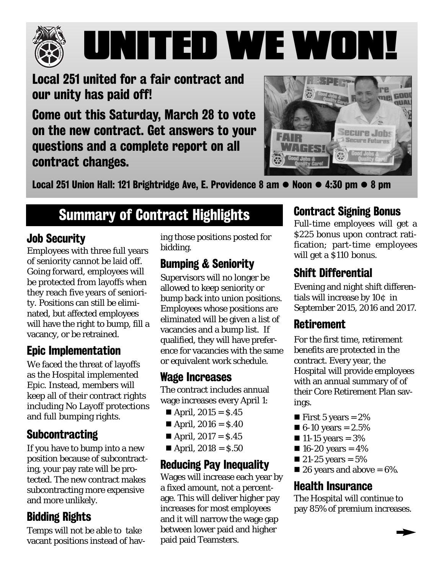

# UNITED WE WON!

Local 251 united for a fair contract and our unity has paid off!

Come out this Saturday, March 28 to vote on the new contract. Get answers to your questions and a complete report on all contract changes.



Local 251 Union Hall: 121 Brightridge Ave, E. Providence 8 am  $\bullet$  Noon  $\bullet$  4:30 pm  $\bullet$  8 pm

## Summary of Contract Highlights

#### Job Security

Employees with three full years of seniority cannot be laid off. Going forward, employees will be protected from layoffs when they reach five years of seniority. Positions can still be eliminated, but affected employees will have the right to bump, fill a vacancy, or be retrained.

#### Epic Implementation

We faced the threat of layoffs as the Hospital implemented Epic. Instead, members will keep all of their contract rights including No Layoff protections and full bumping rights.

#### **Subcontracting**

If you have to bump into a new position because of subcontracting, your pay rate will be protected. The new contract makes subcontracting more expensive and more unlikely.

#### Bidding Rights

Temps will not be able to take vacant positions instead of having those positions posted for bidding.

#### Bumping & Seniority

Supervisors will no longer be allowed to keep seniority or bump back into union positions. Employees whose positions are eliminated will be given a list of vacancies and a bump list. If qualified, they will have preference for vacancies with the same or equivalent work schedule.

#### Wage Increases

The contract includes annual wage increases every April 1:

- April,  $2015 = S.45$
- April,  $2016 = $.40$
- April,  $2017 = $.45$
- April,  $2018 = $.50$

#### Reducing Pay Inequality

Wages will increase each year by a fixed amount, not a percentage. This will deliver higher pay increases for most employees and it will narrow the wage gap between lower paid and higher paid paid Teamsters.

#### Contract Signing Bonus

Full-time employees will get a \$225 bonus upon contract ratification; part-time employees will get a \$110 bonus.

#### Shift Differential

Evening and night shift differentials will increase by 10¢ in September 2015, 2016 and 2017.

#### **Retirement**

For the first time, retirement benefits are protected in the contract. Every year, the Hospital will provide employees with an annual summary of of their Core Retirement Plan savings.

- **First 5 years = 2%**
- $\blacksquare$  6-10 years = 2.5%
- $\blacksquare$  11-15 years = 3%
- $16-20$  years = 4%
- $\blacksquare$  21-25 years = 5%
- $\blacksquare$  26 years and above = 6%.

#### Health Insurance

The Hospital will continue to pay 85% of premium increases.